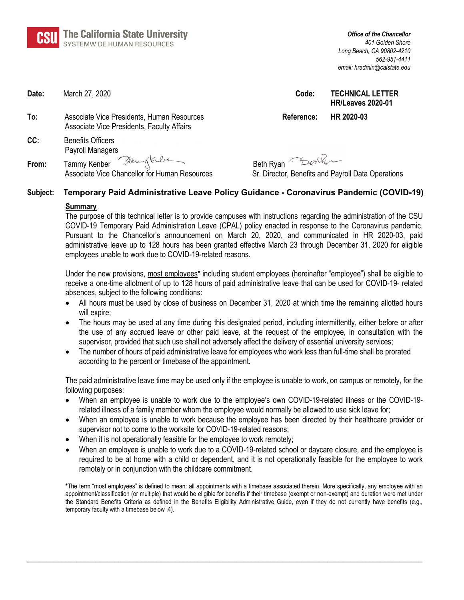| <b>CSU</b> The California State University<br>SYSTEMWIDE HUMAN RESOURCES |
|--------------------------------------------------------------------------|

| Date:    | March 27, 2020                                                                           | Code:            | <b>TECHNICAL LETTER</b><br><b>HR/Leaves 2020-01</b> |
|----------|------------------------------------------------------------------------------------------|------------------|-----------------------------------------------------|
| To:      | Associate Vice Presidents, Human Resources<br>Associate Vice Presidents, Faculty Affairs | Reference:       | HR 2020-03                                          |
| CC:      | <b>Benefits Officers</b><br>Payroll Managers                                             |                  |                                                     |
| From:    | Tammy Kenber Daugkle<br>Associate Vice Chancellor for Human Resources                    | Beth Ryan Butler | Sr. Director, Benefits and Payroll Data Operations  |
| Subject: | Temporary Paid Administrative Leave Policy Guidance - Coronavirus Pandemic (COVID-19)    |                  |                                                     |

#### **Summary**

The purpose of this technical letter is to provide campuses with instructions regarding the administration of the CSU COVID-19 Temporary Paid Administration Leave (CPAL) policy enacted in response to the Coronavirus pandemic. Pursuant to the Chancellor's announcement on March 20, 2020, and communicated in HR 2020-03, paid administrative leave up to 128 hours has been granted effective March 23 through December 31, 2020 for eligible employees unable to work due to COVID-19-related reasons.

Under the new provisions, most employees\* including student employees (hereinafter "employee") shall be eligible to receive a one-time allotment of up to 128 hours of paid administrative leave that can be used for COVID-19- related absences, subject to the following conditions:

- All hours must be used by close of business on December 31, 2020 at which time the remaining allotted hours will expire;
- The hours may be used at any time during this designated period, including intermittently, either before or after the use of any accrued leave or other paid leave, at the request of the employee, in consultation with the supervisor, provided that such use shall not adversely affect the delivery of essential university services;
- The number of hours of paid administrative leave for employees who work less than full-time shall be prorated according to the percent or timebase of the appointment.

The paid administrative leave time may be used only if the employee is unable to work, on campus or remotely, for the following purposes:

- When an employee is unable to work due to the employee's own COVID-19-related illness or the COVID-19 related illness of a family member whom the employee would normally be allowed to use sick leave for;
- When an employee is unable to work because the employee has been directed by their healthcare provider or supervisor not to come to the worksite for COVID-19-related reasons;
- When it is not operationally feasible for the employee to work remotely;
- When an employee is unable to work due to a COVID-19-related school or daycare closure, and the employee is required to be at home with a child or dependent, and it is not operationally feasible for the employee to work remotely or in conjunction with the childcare commitment.

**\***The term "most employees" is defined to mean: all appointments with a timebase associated therein. More specifically, any employee with an appointment/classification (or multiple) that would be eligible for benefits if their timebase (exempt or non-exempt) and duration were met under the Standard Benefits Criteria as defined in the Benefits Eligibility Administrative Guide, even if they do not currently have benefits (e.g., temporary faculty with a timebase below .4).

**\_\_\_\_\_\_\_\_\_\_\_\_\_\_\_\_\_\_\_\_\_\_\_\_\_\_\_\_\_\_\_\_\_\_\_\_\_\_\_\_\_\_\_\_\_\_\_\_\_\_\_\_\_\_\_\_\_\_\_\_\_\_\_\_\_\_\_\_\_\_\_\_\_\_\_\_\_\_\_\_\_\_\_\_\_\_\_\_\_\_\_\_\_\_\_\_\_\_\_\_\_\_\_\_**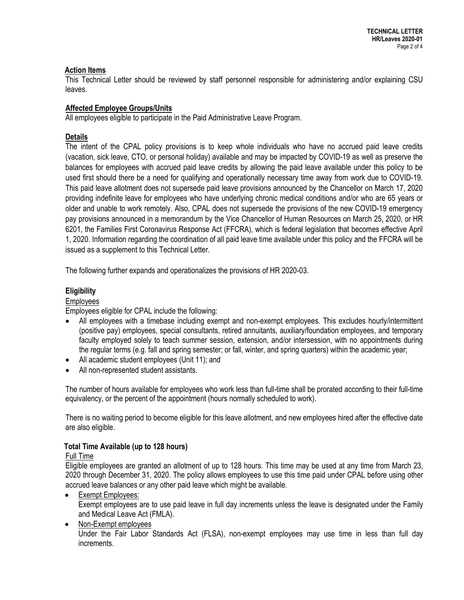# **Action Items**

This Technical Letter should be reviewed by staff personnel responsible for administering and/or explaining CSU leaves.

# **Affected Employee Groups/Units**

All employees eligible to participate in the Paid Administrative Leave Program.

# **Details**

The intent of the CPAL policy provisions is to keep whole individuals who have no accrued paid leave credits (vacation, sick leave, CTO, or personal holiday) available and may be impacted by COVID-19 as well as preserve the balances for employees with accrued paid leave credits by allowing the paid leave available under this policy to be used first should there be a need for qualifying and operationally necessary time away from work due to COVID-19. This paid leave allotment does not supersede paid leave provisions announced by the Chancellor on March 17, 2020 providing indefinite leave for employees who have underlying chronic medical conditions and/or who are 65 years or older and unable to work remotely. Also, CPAL does not supersede the provisions of the new COVID-19 emergency pay provisions announced in a memorandum by the Vice Chancellor of Human Resources on March 25, 2020, or HR 6201, the Families First Coronavirus Response Act (FFCRA), which is federal legislation that becomes effective April 1, 2020. Information regarding the coordination of all paid leave time available under this policy and the FFCRA will be issued as a supplement to this Technical Letter.

The following further expands and operationalizes the provisions of HR 2020-03.

# **Eligibility**

# Employees

Employees eligible for CPAL include the following:

- All employees with a timebase including exempt and non-exempt employees. This excludes hourly/intermittent (positive pay) employees, special consultants, retired annuitants, auxiliary/foundation employees, and temporary faculty employed solely to teach summer session, extension, and/or intersession, with no appointments during the regular terms (e.g. fall and spring semester; or fall, winter, and spring quarters) within the academic year;
- All academic student employees (Unit 11); and
- All non-represented student assistants.

The number of hours available for employees who work less than full-time shall be prorated according to their full-time equivalency, or the percent of the appointment (hours normally scheduled to work).

There is no waiting period to become eligible for this leave allotment, and new employees hired after the effective date are also eligible.

#### **Total Time Available (up to 128 hours)**

#### Full Time

Eligible employees are granted an allotment of up to 128 hours. This time may be used at any time from March 23, 2020 through December 31, 2020. The policy allows employees to use this time paid under CPAL before using other accrued leave balances or any other paid leave which might be available.

• Exempt Employees:

Exempt employees are to use paid leave in full day increments unless the leave is designated under the Family and Medical Leave Act (FMLA).

• Non-Exempt employees Under the Fair Labor Standards Act (FLSA), non-exempt employees may use time in less than full day increments.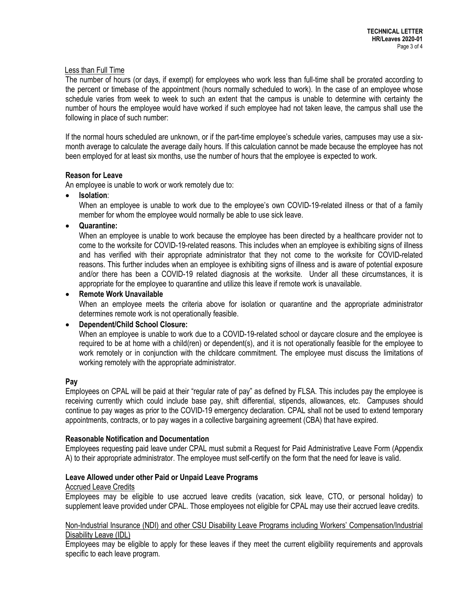# Less than Full Time

The number of hours (or days, if exempt) for employees who work less than full-time shall be prorated according to the percent or timebase of the appointment (hours normally scheduled to work). In the case of an employee whose schedule varies from week to week to such an extent that the campus is unable to determine with certainty the number of hours the employee would have worked if such employee had not taken leave, the campus shall use the following in place of such number:

If the normal hours scheduled are unknown, or if the part-time employee's schedule varies, campuses may use a sixmonth average to calculate the average daily hours. If this calculation cannot be made because the employee has not been employed for at least six months, use the number of hours that the employee is expected to work.

#### **Reason for Leave**

An employee is unable to work or work remotely due to:

• **Isolation**:

When an employee is unable to work due to the employee's own COVID-19-related illness or that of a family member for whom the employee would normally be able to use sick leave.

• **Quarantine:** 

When an employee is unable to work because the employee has been directed by a healthcare provider not to come to the worksite for COVID-19-related reasons. This includes when an employee is exhibiting signs of illness and has verified with their appropriate administrator that they not come to the worksite for COVID-related reasons. This further includes when an employee is exhibiting signs of illness and is aware of potential exposure and/or there has been a COVID-19 related diagnosis at the worksite. Under all these circumstances, it is appropriate for the employee to quarantine and utilize this leave if remote work is unavailable.

# • **Remote Work Unavailable**

When an employee meets the criteria above for isolation or quarantine and the appropriate administrator determines remote work is not operationally feasible.

#### • **Dependent/Child School Closure:**

When an employee is unable to work due to a COVID-19-related school or daycare closure and the employee is required to be at home with a child(ren) or dependent(s), and it is not operationally feasible for the employee to work remotely or in conjunction with the childcare commitment. The employee must discuss the limitations of working remotely with the appropriate administrator.

#### **Pay**

Employees on CPAL will be paid at their "regular rate of pay" as defined by FLSA. This includes pay the employee is receiving currently which could include base pay, shift differential, stipends, allowances, etc. Campuses should continue to pay wages as prior to the COVID-19 emergency declaration. CPAL shall not be used to extend temporary appointments, contracts, or to pay wages in a collective bargaining agreement (CBA) that have expired.

#### **Reasonable Notification and Documentation**

Employees requesting paid leave under CPAL must submit a Request for Paid Administrative Leave Form (Appendix A) to their appropriate administrator. The employee must self-certify on the form that the need for leave is valid.

#### **Leave Allowed under other Paid or Unpaid Leave Programs**

#### Accrued Leave Credits

Employees may be eligible to use accrued leave credits (vacation, sick leave, CTO, or personal holiday) to supplement leave provided under CPAL. Those employees not eligible for CPAL may use their accrued leave credits.

# Non-Industrial Insurance (NDI) and other CSU Disability Leave Programs including Workers' Compensation/Industrial Disability Leave (IDL)

Employees may be eligible to apply for these leaves if they meet the current eligibility requirements and approvals specific to each leave program.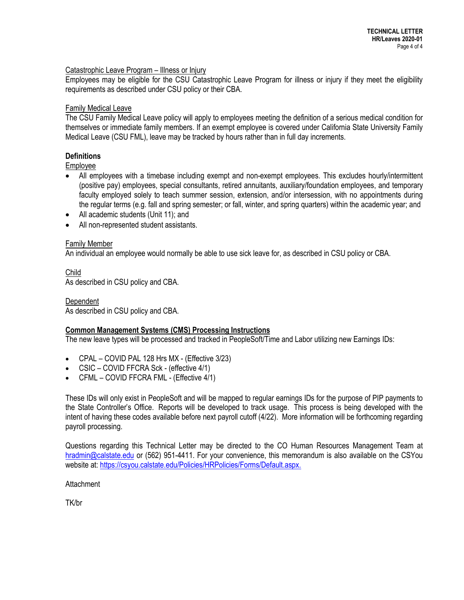# Catastrophic Leave Program – Illness or Injury

Employees may be eligible for the CSU Catastrophic Leave Program for illness or injury if they meet the eligibility requirements as described under CSU policy or their CBA.

# **Family Medical Leave**

The CSU Family Medical Leave policy will apply to employees meeting the definition of a serious medical condition for themselves or immediate family members. If an exempt employee is covered under California State University Family Medical Leave (CSU FML), leave may be tracked by hours rather than in full day increments.

# **Definitions**

Employee

- All employees with a timebase including exempt and non-exempt employees. This excludes hourly/intermittent (positive pay) employees, special consultants, retired annuitants, auxiliary/foundation employees, and temporary faculty employed solely to teach summer session, extension, and/or intersession, with no appointments during the regular terms (e.g. fall and spring semester; or fall, winter, and spring quarters) within the academic year; and
- All academic students (Unit 11); and
- All non-represented student assistants.

# Family Member

An individual an employee would normally be able to use sick leave for, as described in CSU policy or CBA.

Child As described in CSU policy and CBA.

Dependent As described in CSU policy and CBA.

#### **Common Management Systems (CMS) Processing Instructions**

The new leave types will be processed and tracked in PeopleSoft/Time and Labor utilizing new Earnings IDs:

- CPAL COVID PAL 128 Hrs MX (Effective 3/23)
- CSIC COVID FFCRA Sck (effective 4/1)
- CFML COVID FFCRA FML (Effective 4/1)

These IDs will only exist in PeopleSoft and will be mapped to regular earnings IDs for the purpose of PIP payments to the State Controller's Office. Reports will be developed to track usage. This process is being developed with the intent of having these codes available before next payroll cutoff (4/22). More information will be forthcoming regarding payroll processing.

Questions regarding this Technical Letter may be directed to the CO Human Resources Management Team at [hradmin@calstate.edu](mailto:hradmin@calstate.edu) or (562) 951-4411. For your convenience, this memorandum is also available on the CSYou website at: [https://csyou.calstate.edu/Policies/HRPolicies/Forms/Default.aspx.](https://csyou.calstate.edu/Policies/HRPolicies/Forms/Default.aspx)

**Attachment** 

TK/br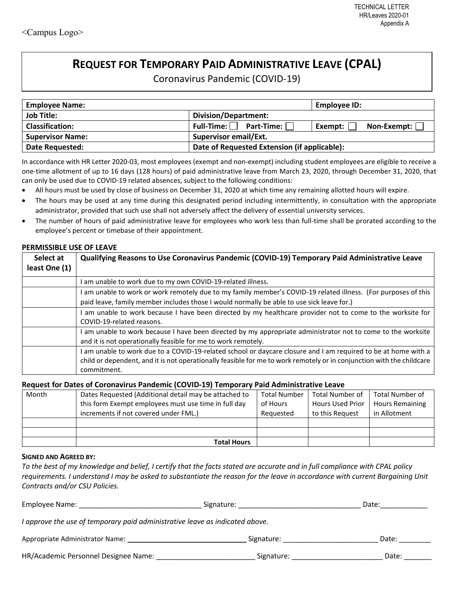# **REQUEST FOR TEMPORARY PAID ADMINISTRATIVE LEAVE (CPAL)**

Coronavirus Pandemic (COVID-19)

| <b>Employee Name:</b>   | Employee ID:                                 |                          |  |  |  |
|-------------------------|----------------------------------------------|--------------------------|--|--|--|
| <b>Job Title:</b>       |                                              |                          |  |  |  |
| <b>Classification:</b>  | Full-Time: $\Box$ Part-Time: $\Box$          | Non-Exempt:  <br>Exempt: |  |  |  |
| <b>Supervisor Name:</b> | <b>Supervisor email/Ext.</b>                 |                          |  |  |  |
| Date Requested:         | Date of Requested Extension (if applicable): |                          |  |  |  |

In accordance with HR Letter 2020-03, most employees (exempt and non-exempt) including student employees are eligible to receive a one-time allotment of up to 16 days (128 hours) of paid administrative leave from March 23, 2020, through December 31, 2020, that can only be used due to COVID-19 related absences, subject to the following conditions:

- All hours must be used by close of business on December 31, 2020 at which time any remaining allotted hours will expire.
- The hours may be used at any time during this designated period including intermittently, in consultation with the appropriate administrator, provided that such use shall not adversely affect the delivery of essential university services.
- The number of hours of paid administrative leave for employees who work less than full-time shall be prorated according to the employee's percent or timebase of their appointment.

#### **PERMISSIBLE USE OF LEAVE**

| Select at<br>least One (1) | Qualifying Reasons to Use Coronavirus Pandemic (COVID-19) Temporary Paid Administrative Leave                                                                                                                                                          |
|----------------------------|--------------------------------------------------------------------------------------------------------------------------------------------------------------------------------------------------------------------------------------------------------|
|                            | am unable to work due to my own COVID-19-related illness.                                                                                                                                                                                              |
|                            | I am unable to work or work remotely due to my family member's COVID-19 related illness. (For purposes of this                                                                                                                                         |
|                            | paid leave, family member includes those I would normally be able to use sick leave for.)                                                                                                                                                              |
|                            | am unable to work because I have been directed by my healthcare provider not to come to the worksite for<br>COVID-19-related reasons.                                                                                                                  |
|                            | I am unable to work because I have been directed by my appropriate administrator not to come to the worksite<br>and it is not operationally feasible for me to work remotely.                                                                          |
|                            | I am unable to work due to a COVID-19-related school or daycare closure and I am required to be at home with a<br>child or dependent, and it is not operationally feasible for me to work remotely or in conjunction with the childcare<br>commitment. |

#### **Request for Dates of Coronavirus Pandemic (COVID-19) Temporary Paid Administrative Leave**

| Month | Dates Requested (Additional detail may be attached to | <b>Total Number</b> | <b>Total Number of</b>  | <b>Total Number of</b> |
|-------|-------------------------------------------------------|---------------------|-------------------------|------------------------|
|       | this form Exempt employees must use time in full day  | of Hours            | <b>Hours Used Prior</b> | <b>Hours Remaining</b> |
|       | increments if not covered under FML.)                 | Requested           | to this Request         | in Allotment           |
|       |                                                       |                     |                         |                        |
|       |                                                       |                     |                         |                        |
|       | <b>Total Hours</b>                                    |                     |                         |                        |

#### **SIGNED AND AGREED BY:**

*To the best of my knowledge and belief, I certify that the facts stated are accurate and in full compliance with CPAL policy requirements. I understand I may be asked to substantiate the reason for the leave in accordance with current Bargaining Unit Contracts and/or CSU Policies.* 

| Employee Name:                                                               | Date:      |       |
|------------------------------------------------------------------------------|------------|-------|
| I approve the use of temporary paid administrative leave as indicated above. |            |       |
| Appropriate Administrator Name:                                              | Signature: | Date: |
| HR/Academic Personnel Designee Name:                                         | Signature: | Date: |